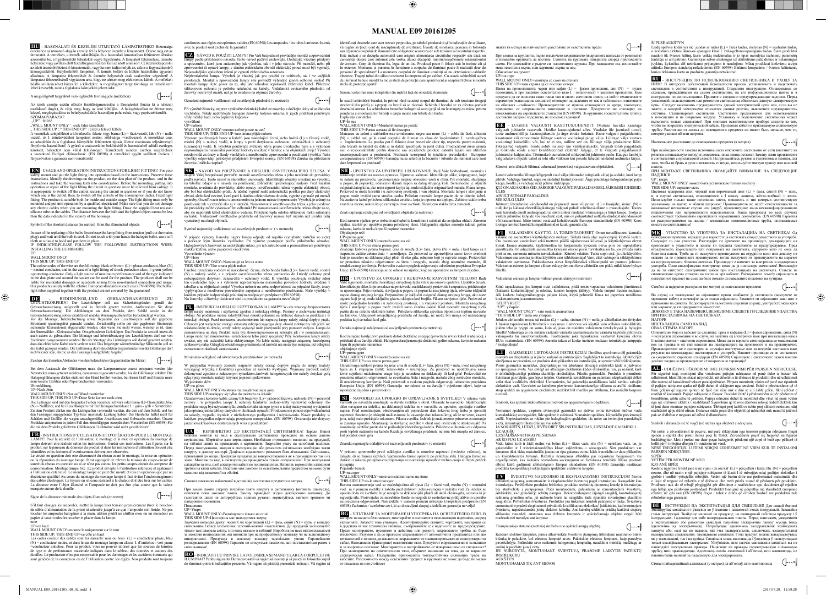**MANUAL E09 20161205**

 $\bigoplus$ 

**HU -** HASZNÁLATI ÉS KEZELÉSI ÚTMUTATÓ LÁMPATESTHEZ! Biztonsága érdekében az útmutató alapján szerelje fel és helyezze üzembe a lámpatestet. Orizze meg ezt az útmutatót. A terméken, a termék adattábláján és a használatí útmutatóban feltünketi ábrákat azonosítsa be, a figyelmeztető feli alkalmas. A lámpatest felszerelését és üzembe helyezését csak szakember végezheti! A<br>lámpatest felszerelésénél vigyázzon arra, hogy ne sértsen meg elektromos kábelt. A mellékelt<br>hőálló szilikoncsövet húzza fel a kábelekre. lehet kevesebb, mint a foglalatok környékén jelzett adat.

**EN** - USAGE AND OPERATION INSTRUCTIONS FOR LIGHT FITTING! For your safety, mount and put the light fitting into operation based on the instructions. Preserve these<br>instructions. Identify the drawings on the product, on the data plate of the product, and in the instructions and take the warning texts into consideration. Before the mounting, putting into operation or repair of the light fitting the circuit in question must be relieved from voltage. It is appropriate to switch off the cutout securing the circuit in question or if you do not know which one is the cutout, then, to switch off the cutouts of the consumption meter. Fixed light fitting. The product is suitable both for inside and outside usage. The light fitting must only be mounted and put into operation by a qualified electrician! Make sure that you do not damage any electric cables when you ar

A megvilágított tárgyaktól való legkisebb távolság jele (méterben)

Az izzók cseréje esetén először feszültségmentesítse a lámpatestet (húzza ki a hálózati<br>csatlakozó dugót), és várja meg, hogy az izzó kihüljön. A halogénizzókat ne érintse meg<br>kézzel, megfogásukhoz és behelyezésükhöz haszn

"UP" : felfelé<br>"WALL MOUNT ONLY" : csak falra szerelhető<br>" THIS SIDE UP"; "THIS END UP" : ezzel a felével felfelé<br>A vezetékek színjelölései a következők: fekete vagy barna (L) = fázisvezető, kék (N) = nulla vezető, és I. érintésvédelmi lámpatest esetén: zöld-sárga =védővezető. A termékhez csak adatábán és a foglalatok környékén feltüntetett típusú, iletve maximum teljesítményű<br>fényforrás használható! A gyártó a szakszerütlen

The colour codes of the wire are the following: black or brown (L) = phase conductor, blue (N) = neutral conductor, and in the case of a light fitting of shock protection class I: green-yellow =protecting conductor. Only a light source of maximum performance and of the type indicated in the data plate and around the socket can be used for the product. The producer shall not be liable for incidental damages or accidents arising from non-standard connection and usage. Our products comply with the relative European standards in each case (EN 60598) The bulbs / light tubes supplied together with the product are not covered by the guarantee!

**DB**<br> **DEDIENUNGS,-UND GEBRAUCHSANWEISUNG ZU<br>
LEUCHTKÖRPERNU Der Leuchtkörper soll aus Sicherheitsgründen gemäß der<br>
Gebrauchsamweisung aufgestellt und in Betrieb gesetzt werden. Aufbewahren Sie diese<br>
Gebrauchsamweisung 1** 

Fachleuten vorgenommen werden! Bei der Montage des Lichtkörpers soll darauf geachtet werden,<br>dass das elektrische Kabel nicht verletzt wird. Das beigelegte wärmebeständige Silikonrohr soll an<br>die Kabel gezogen werden. Die

Zeichen des kleinsten Abstandes von den beleuchteten Gegenständen (in Meter)  $\bigcap$ --

Bei dem Austausch der Glühlampen muss die Lampenarmatur zuerst entspannt werden (der Netzstecker muss getrennt werden), dann muss es gewartet werden, bis die Glühlampe erkaltet. Die<br>Halogenglühlampen dürfen nicht mit der Hand berührt werden, bei ihrem Griff und Einsatz muss<br>man weiche Textilien oder Papier

Symbol of the shortest distance (in metres) from the illuminated objects

In case of the replacing of the bulbs first release the lamp fitting from tension (pull out the mains plug), and wait until the bulb is cool. Do not touch with your hands the halogen bulbs, use a soft<br>cloth or a tissue to hold and put them in place.<br>IF INDICATED,PLEASE FOLLOW THE FOLLOWING INSTRUCTIONS WHEN

**FR** - INSTRUCTIONS D'UTILISATION ET D'OPÉRATION POUR LE MONTAGE LAMPE! Pour la sécurité de l'utilisateur, le montage et la mise en opération du montage de<br>lampe doivent etre réalisés selon les instructions. Garder ces instructions. Les figures sur le<br>produit, sur le panneau de données

INSTALLING THE LUMINAIRE

UP WALL MOUNT ONLY

THIS SIDE UP; THIS END UP

identifiées et les écritures d'avertissement doivent etre observées.<br>Le circuit en question doit etre déconnecté du réseau avant le montage, la mise en opération<br>ou la réparation du montage lampe. Il est approprié de relev sureté du réseau en question ou si ce n'est pas connu, les petits coupes-circuit du compteur d<br>consommation. Montage lampe fixe. Le produit est apte à l'utilisation intérieure et égalemer à l'utilisation extérieure. Le montage lampe ne peut etre monté et mis en opération que par un<br>électricien qualifié! Au cours du montage du montage lampe il faut éviter l'endommagement<br>des cables électriques. Le tuyeau en La distance entre l'objet illuminé et l'ampoule ne doit pas être plus courte que la valeur marquée autour de la douille.

S'il faut changer les ampoules, mettre la lampe hors tension premièrement (tirer le bouchon de câble d'alimentation de la prise) et attendre jusqu'à ce que l'ampoule soit froide. Ne pas<br>toucher les ampoules halogènes à la main, utiliser plutôt un chiffon mou ou un mouchoir en<br>papier si vous voulez les toucher et

**CZ** - NÁVOD K POUŽITÍ LAMPY! Pro Vaší bezpečnost provádějte montáž a zprovoznění lampy podle přiloženého návodu. Tento návod pečlivě uschovejte. Dodržujte všechny předpisy<br>a upozomění, které jsou znázoměny jak výrobku, tak i v jeho návodu. Při montáži, nebo při<br>zprovoznění či opravě lampy, v daném elek

montáži lampy dejte pozor na to, aby jste náhodou nepoškodil elektrický kabel. Přiložené<br>silikonovou ochranu je potřeba natáhnout na kabely. Vzdálenost osvíceného předmětu od<br>žárovky nesmí být menší, než je to uvedeno na o

## Worterklärung UP=Nach oben

⊕

WALL MOUNT ONLY=Nur auf Wand montierbar<br>THIS SIDE UP; THIS END UP=Diese Seite kommt nach oben<br>THIS SIDE UP; THIS END UP=Diese Seite kommt nach oben<br>Die Leitungen sind mit den folgenden Farben versehen: schwarz oder braun

**SK** - NÁVOD NA POUŽÍVANIE A OBSLUHU OSVETĽOVACIEHO TELESA. V záujme Vašej bezpečnosti preveďte montáž osvetľovacieho telesa a jeho uvedenie do prevádzky<br>podľa návodu. Tento návod si starostlivo uschovajte. Identifikujte obrázky uvedené na výrobku, podľa návodu. Tento návod si starostlivo uschovajte. Identifikujte obrázky uvedené na výrobku, montáže, uvedenia do prevádzky, alebo opravy osveľovacieho telesa vypnite elektrický obvod, amontáže, uvedenia do prevádzky, al vyznačený na okraji objímok.

 $\bigcap$ --m Symbol najmenšej vzdialenosti od osvetlených predmetov ( v metroch)

V prípade výmeny žiarovky najprv lampu odpojte od napätia (vytiahnite zástrčku zo siete)<br>a počkajte kým žiarovka vychladne. Pri výmene postupujte podľa priloženého obrázku.<br>Halogénových žiaroviek sa nedotýkajte rukou, pri

Vysvetlenie výrazov<br>UP=Hore<br>WALL MOUNT ONLY=Namontuje sa len na stenu<br>THIS SIDE UP=Táto strana pôjde nahor<br>Farebné označenia vodičov sú nasledovné: čierna, alebo hnedá farba (L) = fázový vodič, modrá<br>Farebné označenia vod (N) = nulový vodič, a v prípade osvetľovacieho telesa patriaceho do Ltriedy ochrany pred<br>nebezpečným dotykom: zelená-žltá = ochranný vodič. K výrobku používajte svetelný zdroj len uvedeného typu a s výkonom nepresahujúcim maximálne povolené hodnoty uvedené v<br>tabuľke a na objimkach zroja! Výrobca neberie na seba zodpovednosť za prípadné škody, úrazy<br>vypľyvajúce z neodborne prevedeného zapojenia a

**PL** - INSTRUKCJA OBSŁUGI I UŻYTKOWANIA LAMPY! W celu własnego bezpiec lampę należy montować i użytkować zgodnie z instrukcją obsługi. Prosimy o zachowanie instrukcji obsługi. Na produkcie można zidentyfi kowaś rysunki pokazane na tabliczce danych na produkcie i w instrukcji obsługi. Przed montażem, uruchomieniem lub naprawą lampy należy odciąć dopływ prądu.<br>Celowym jest wyłączenie małego automatu zabezpiecząjącego dany obwód elektryczny lub jeżeli nie<br>wiadomo który to obwód, wtedy zamontowania na stałę. Produkt może być stosowanyzańówno na zewnątrz jak i w ponieszczeniach.<br>Lampa może być zamontowana i uruchomiona tylko przez specjalistę! Przy mottowaniu lampy należy<br>uważać, aby nie uszkodzić kabla e

alna odległość od oświetlonych przedmiotów (w metrach)

W przypadku wymiany żarówki najpierw należy odciąć dopływ prądu do lampy (należy wyciągnąć wtyczkę z kontaktu) i poczekać aż żarówka wystygnie. Wymiany żarówek należy<br>dokonywać zgodnie z załączonym rysunkiem.żarówek halogenowych nie należy dotykać gołą<br>ręką i przy montażu należy trzymać je przez opakow enie słów

' UP=na górze<br>UP=na górze<br>WALL MOUNT ONLY=ta strona ma znajdować się u góry

WALL MOUNT ONLY=ta strona ma znajdować się u góry<br>THIS SIDE UP-madający się tylko do montażu na ścianie czorzyczyczyczyczyczne (Napakowanie kolorów kabli: czarny lub brązowy (L) = przewód fazowy, niebieski (N) = przewód<br>ze

Signe de la distance minimale des objets illuminés (en mètre)

UP=en haut WALL MOUNT ONLY=montez le uniquement sur le mur THIS SIDE UP; THIS END UP=ce côté en haut

Les codes couleur des cables sont les suivants: noir ou brun (L) = conducteur phase, bleu (N) = conducteur neutre, et dans le cas de montage lampe en classe 1. d'antichoc : vert-jaune =<br>-conducteur antichoc. Pour ce produit, vous ne pouvez utilisez que les sources de lumière<br>de type et de performance maximale i

conformes aux règles européennes valides (EN 60598) Les ampoules / les tubes lumineux fournis avec le produit sont exclus de la garantie!

> UP=În sus WALL MOUNT ONLY=Montabil numai pe perete THIS SIDE UP=Partea aceasta să fie deasupra

**SR** - UPUTSTVO ZA UPOTREBU I RUKOVANJE. Radi Vaše bezbednosti, montažu i rokuvanje izvršite na osnovu uputstva. Uputstvo sačuvati. Identifikujte slike, kriptograme, koje<br>se nalaze na proizvodu, upozoravajuće natpise obavezno uzeti u obzir. Pre montaže, stavljanja u pogon, ili popravke, obavezno skinuti napon sa datog strujnog kola. Svrsishodno je isljučiti osigurač datog kola, ako niste sigurni koji je taj, onda isključite osigurač kod merača. Fixna lampa.<br>Proizvod se može koristit

Označení nejmenší vzdálenosti od osvětlených předmětů (v metrech)

Při výměně žárovky, nejprve vytáhněte elektrický kabel ze zásuvky a dočkejte doby až se žárovka<br>vychladne. Nikdy nedotýkejte halogení žárovky holýma rukama, k jejich přidržení používejte<br>vždy měkký hadr, nebo papírový kape ∕vsvĕtlení

WAI J. MOUNT ONLY=montovatelné pouze na zeď

 $\left(\bigcap_{n=-\infty}^{\infty}$ 

 $\left(\bigcap_{n=-\infty}^{\infty}$ 

WALL MOUNT ONLY=montovatelné pouze na zeď<br>THIS SIDE UP; THIS END UP=tato strana přijele nahoru<br>Význam používaných barev u kabelů jsou následující: čemá, nebo hnědá (L) = fázový vodič,<br>Význam používaných barev u kabelů jsou

**SI** - NAVODILO ZA UPORABO IN UPRAVLJANJE S SVETILKO! V intereu vaše varnosti po navodilu montirajte in stavite svetilko v obrat. Ohranite to navodilo. Identificirajte navajane na izdelku, na deklaraciji izdelka in v navodilu za uporabo, upoštujte svarilne<br>sinke navajane na izdelku, na dekl je ta, tedaj malo prekinjalo tokomera. Fiksna svetilka. Izdelek je enakomerno primeren za notranjo<br>in zunanjo uporabo. Montiranje in stavljenje svetilke v obrat sme izvrševati le strokovnjak! Pri<br>montiranju svetilke pazite proti toploti nataknite na kabele Razdalja osvetlenega predmeta ne sme biti manjša od žarnice, latek okoli grla

## $\left(\left]-\right]-\left[-\right]$ Znamka najmanjše oddaljitve od razsvetljavnih predmetov (v meterih)

V primeru spremembe prvič odklopite svetilko iz omrežne napetosti (izvlecite vtičnico), in<br>čakajte, da se žarnica razhladi. Spremembo žarnic opravite po priloženi sliki. Halogen žarnic ne<br>dotikati z rokami, pri njihovem pr iz papirja Pojasnilo besede

 $\bigcap$ --m

**BG** - УПЪТВАНЕ ЗА МОНТИРАНЕ И УПОТРЕБА НА ОСВЕТИТЕЛНО ТЯЛО. В интерес на вашата безопасност, монтирайте и поставете в експлоатация изделията, според<br>указанията. Запазете това упътване. Идентифицирайте скиците, чертежите, намиращи се в дадената от нас техническа таблица, съобразявайте се с надписите за предупреждение.<br>Преди монтирането, пускането в действие или ремонт, захранването этойба да бъде писимания.<br>изключено. Разумно е да се прекъсне захранва

знакът (в метър) на най-малкото разстояние от осветлените пре

"THIS SIDE UP": tämä osa ylöspäin Johdon värikoodit: musta tai ruskea (L) = vaihe, sininen (N) = nolla ja sähkölaitteiden tiiviyden I. luokan tapauksessa keltavihreä = suojamaa. Laitteessa voi käyttää vain sellaisia valonlähteitä, joiden teho ja tyyppi on sama, kuin se, joka on mainittu valaisimen tietokylvyssä ja hylsyjen lähellä! Valmistaja ei ota mitään vastuuta väärästä asentamisesta tai väärästä käytöstä johtu<br>vahingoista, tai, onnettomuuksista. Tuotteemme, joka, tanauksessa, vastaavat, kyseessä, o vahingoista tai onnettomuuksista. Tuotteemme joka tapauksessa vastaavat kyseessä olevia EU:n vaatimuksia. (EN 60598) Annettu takuu ei koske tuotteen mukaan toimitettuja lamppuja loisteputkeja!

$$
\mathbb{A}^{\mathbb{N}}
$$

$$
: objectideni. \qquad \qquad \bigg(---m\bigg]
$$

 $\left($ ---m

**LT** - GAISMEKĻU LIETOŠANAS INSTRUKCIJA! Drošības apsvērumu dēļ gaismekļa montāža un ekspluatācija ir jāveic saskaņā ar instrukcijām. Saglabājiet šo instrukciju. Identificējiet Zimējumus uz produkta dau plāksnītes un instrukcijās, un nemiet vērā Drīms gaismekļa montāžas, ekspluatācijas vai laboš veikt tikai kvalificēts elektriķis! Uzmanieties, lai gaismekļa uzstādīšanas laikā netiktu sabojāti<br>elektriskie vadi. Uzvelciet uz kabeļiem pievienoto karstumizturīgo silikona caurulīti. Attālums<br>starp spuldzi un apgaismoto

Nomainot spuldzes, vispirms atvienojiet gaismekli no strāvas avota (izvelciet strāvas vada<br>kontaktdakšu) un nogaidiet, līdz spuldze ir atdzisusi. Nomainiet spuldzes, kā parādīts pievienotajā<br>attēlā. Nepieskarieties ar rokā

 $\bigcap$ ---

**UA** - КЕРІВНИЦТВО ДО ЕКСПЛУАТАЦІЇ СВІТИЛЬНИКА! Заради Вашої безпеки монтаж та ввід в експлуатацію світильника проводьте на основі даного керівництва. Зберігайте дане керівництво. Необхідно ототожнити малюнки на продукції, на таблиці даних та приведених в керівництві. Звертайте увагу на запобіжні надписи.<br>Перед монтуванням, вводом в експлуатацію або ремонтом світильника необхідно зняти<br>напругу в даному контурі. Доцільно відключити розмикач трубки на кінці кабелів. Відстань між лампою та освітлювальним предметом не може бути меншою від зазначеної на обоймі.

Символ показника найменшої відстані від освітлених предметів в метрах.

При заміні лампи спершу потрібно зняти напругу в світильнику (витяніть штепсель), почекати поки охолоне лампа. Заміну проводьте згідно докладеного малюнку. До галогенних ламп не доторкуйтесь голими руками, користуйтесь мягкою тряпкою чи паперовим носовиком. Пояснення

 $\bigcap$ --

UP=Уверх WALL MOUNT ONLY=Розміщувати тільки на стіні

THIS SIDE UP=Ця сторона має знаходитися зверху Значення кольорів дроту: чорний чи коричневий (L) = фаза, синій (N) = нуль, у випадку світильника I.класу заземлення: зелений-жовтий =заземлення. До продукції застосовуйте тільки такі джерела світлу, тип яких вказано в таблиці! Виробник не несе відповідальності<br>за можливі пошколження, які виникли при не професійному монтажу чи не вілповілному за можливі пошкодження, які виникли при не професійному монтажу чи не відповідному використанні. Продукція в кожному випадку задовільняє умови Європейского розпочання (EN 60598) Гарантія не стосується лампочок, що поставля світильником!

**RO** - INDICAŢII CU PRIVIRE LA FOLOSIREA ŞI MANIPULAREA CORPULUI DE ILUMINAT! Pentru siguranta Dumneavoastră vă rugăm să montaţi şi să puneţi in folosintă corpul de iluminat potrivit indicaţiilor prezente. Vă rugam să păstraţi prezentele indicaţii. Vă rugăm să

identificați desenele care sunt trecute pe produs, pe tabelul produsului și în indicațiile de utilizare, vă rugăn să țineți or de inscripțiunile de avertizare. Înainte de montarea, punerea în folosință sau repararea corpul electrice. Trageți tubul din silicon rezistent la temperatură pe cabluri. Cu ocazia schimbării sursei<br>de iluminat trebuie montat la loc și sticla de protecție care apără becul și neapărat trebuie înlocuită sticla de protectie spartă!

## Semnul celei mai mici îndepărtări (în metrti) faţă de obiectele iluminate

In cazul schimbării becului, în primul rând scoateți corpul de iluminat de sub tensiune (trageți stecherul din priză) și așteptați ca becul să se răceasă. Schimbul decului anexat. La schimbarea becurilor halogen să aveți g

 $\bigcap$ --mg

THIS SIDE UP: верхняя часть<br>Цветовая кодировка жил: чёрный или коричневый цвет (L) = фаза, синий (N) = ноль,<br>Це товая кодировка жил: чёрный или коричневый цвет (L) = фаза, синий (N) = земля.<br>Используйте только такие источ вместе со светильником!

**MK** - УПАТСТВО ЗА УПОТРЕБА ЗА ИНСТАЛАЦИЈА НА СВЕТИЛКА! Од безбедносни причини, вградете ја и користете ја светилката според упатството за у<br>Сочувајте го ова упатство. Разгледајте ги цртежите на производот, декларац Сочувајте го ова упатство и земете ги пртежите на производот, декларацијата на продувањет. Пред и знателено и земете ги предвид текстовите за предупредување. Пред видионархите предвидувањето користенского или поправката н

Marcarea cu colori a cablurilor este următoarea: negru sau maro (L) = cablu de fază, albastru

(N) = cablul nul, și în cazul corpului de ilumiat cu clasa de împământare I.: verde-galben<br>= împământarea. La produs pot fi folosite doar becuri ale căror tip, respectiv putere maximă,<br>este trecută în tabelul de date și în e împreună cu produsul

> или марамче да ги придржите и наместите.<br>ДОКОЛКУ Е ТАКА НАЗНАЧЕНО, ВЕ МОЛИМЕ СЛЕДЕТЕ ГИ СЛЕДНИВЕ УПАТСТВА<br>ПРИ ИНСТАЛИРАЊЕ НА СВЕТИЛКАТА НАГОРЕ

НАГОРЕ<br>ИНСТАЛАЦИЈА САМО НА ЅИД

Ознаките во боја на кабелот се следниве: црна и кафеава (L) = фазен спроводник, сина (N) = неутрален спроводник и во случај на заштита од електричен шок при инсталација класа<br>1: заено-жолта = заштитен спроводник. Може да се користи само сијалица со максимален<br>век на траење и од тип наведен на декларацијата на

**AL** - UDHËZIME PËRDORIMI DHE FUNKSIONIMI PËR PAJISJEN NDRIÇUESE. Për sigurinë tuaj, montojeni dhe vendoseni pajisjen ndriçuese në punë duke u bazuar tek udhëzimet. Identifi koni skicat në produkt, në etiketën e të dhënave të produktit dhe në udhëzimet dhe mermi në konsideratë tekstet paralajmëruese. Përpara montimit, vënies në punë ose riparimit<br>të pajisjes ndriçuese qarku në fjalë duhet të shkëputet nga tensioni. Është e përshtatshme që të<br>fikni çelësin që siguron qark matësit të konsumit. Pajtsje ndriçuese e fiksuar. Produkti është i përshtatshëm si për përdorim të brendshëm, ashtu edhe të jashtëm. Pajtsja ndriçues duhet të montohet dhe vitëm nga një inxhinier elektrik i kualifikuar! Si

Znak najmanje razdaljine od osvetljenih objekata (u metrima)

Kod zamene sijalice, prvo treba izvući kabel iz konektora i sačekati da se sijalica ohladi. Zamenu sijalica izvršiti po uputstvu prema priloženoj skici. Halogenske sijalice nemojte taknuti golim rukama, koristite meku krpu ili papirne maramice. Objašnjenje reči

UP=prema gore WALL MOUNT ONLY=montaža samo na zid

THIS SIDE UP=ova strana prema gore<br>Značenje kablova prema bojama: crna ili smeđa (L)= faza, plava (N) = nula, i kod lampi sa I<br>značenje kablova prema bojama: crna ili smeđa (L)= faza, plava (N) = nula, i kod lampi sa I<br>ste

**FRE** - UPUTSTVO ZA UPORABU I RUKOVANJE RASVJETNIM TIJELOM! Radi się sigurnosti, montažu i korištenje rasvjetnog tijela vršite ina osnovu upustva. Upustvo čuvati. Identificirajte slike, koje se nalaze na proizvodu, na dekl

| Oznaka najmanje udaljenosti od osvijetljenih predmeta (u metrima) |  | $\bigcup$ ---m |  |
|-------------------------------------------------------------------|--|----------------|--|
|-------------------------------------------------------------------|--|----------------|--|

Kod zamjene žarulje prvo prekinite dotok električne energije (prvo treba izvući kabel iz utičnice), i pričekati da se žarulja ohladi. Halogene žarulje nemojte dotaknuti golim rukama, koristite mekanu krpu ili papirnate maramice. objašnjenje riječi:

UP=prema gore WALL MOUNT ONLY=montaža samo na zid

THIS SIDE UP=ova strana prema gore<br>Označavanje kablova prema bojama: crna ili smeđa (L)= faza, plava (N) = nula, i kod rasvjetnog<br>Označavanje kablova prema bojama: crna ili smeđa (L)= faza, plava (N) = nula, i kod rasvjetn

UP=navzgor WALL MOUNT ONLY=more se instalirati samo na steno

THIS SIDE UP=ta-le stran navzgor<br>Barvna zaznamovanja vod so naslednja:črna ali rjava (L) = fazni vod, modra (N) = neutralni<br>Barvna zaznamovanja vod so naslednja:črna ali rjava (L) = fazni vod. Za izdelek se<br>uporabi le-ta v

При смяна на крушките, първо изключете захранването (издръпнете щепсела от розетката) и изчакайте крушката да изстине. Смяната на крушката извършете според приложената<br>схема. Не докосвайте с ръцете си халогенните крушка. При хващането им, използвайте<br>мека текстилна кърпа, или хартиена кърпа за нос. Oбяснение на думите

 $\bigcap$ ---m

 $\left($ ---m

UP=на горе<br>WALL MOUNT ONLY=монтира се само на стената WALL MOUNT ONLY=монтира се само на стената<br>THIS SIDE UP=тази страна да се постави отгоре<br>Цвета на проводниците: черен или кафяв (L) = фазов проводник, син (N) = нулев<br>проводник, и при защитно осветително тяло I. : зеленовени заедно с изделието, не поемаме гаранция

**EE** - LUGEGE VALGUSTI KASUTUSJUHENDIT. Ohutuse huvides kasutage valgustit juhistele vastavalt. Hoidke kasutusjuhend alles. Vaadake üle joonised tootel,<br>toote andmesildil ja kasutusjuhendis ja ärge eirake hoiatusi. Enne valgusti paigaldamist,<br>kasutamist või remontimist lühitage vastava Fikseeritud valgusti. Toode sobib nii sise- kui väliskasutuseks. Valgusti tohib paigaldada<br>ja töökorda seada ainult kvalifitseeritud elektrik! Jälgige, et te valgusti paigaldamisel<br>juhtmeid ei kahjustaks. Tõnmake kuumakind

Sümbol, mis tähistab lühimat vahemaad (meetrites) valgustatavate o

Lambi vahetamiks lülitage kõigepealt vool välja (tõmmake toitepistik välja) ja oodake, kuni lamp jahtub. Vahetage lambid, nagu on näidatud lisatud joonisel. Ärge puudutage halogeenlampe palja käega, hoidke ja vahetage neid pehme riidelapiga. KUI ON ASJAKOHASED, JÄRGIGE VALGUSTI PAIGALDAMISEL JÄRGMISI JUHISEID.

ÜLES<br>AINULT SEINALE PAIGALDUS<br>JEE KÜLG ÜLES<br>Juhtmete ühendamise värvikoodid on järgmised: must või pruun (L) = faasijuhe, sinine (N) =<br>Juhtmete ühendamise värvikoodid on järgmised: must või pruun (L) = faasijuhe, sinine (N tootega tarnitud lambid/kompaktlambid ei kuulu garantii all

 $\blacksquare$  - VALAISIMEN KÄYTTÖ- JA TOIMINTAOHIEET. Oman turvallisuutesi kannalta valaisin on asennettava käyttööhjeiden mukaan. Säilytä tämä ohje myöhempää käyttööhjeessa olevat kuvat. Ennen asennusta, käyttööntottoa tai korj

Valaistetun esineen ja lampun välinen pienin etäisyys (metrissä)

Siinä tapauksessa, jos lamput ovat vaihdettava, pitää ensin vapauttaa valaisimen jännitteestä<br>(katkaise kosketintulppa) ja olottaa, kunnes lamppu jäähtyy. Vaihda lamput kuvien mukaan.<br>Alä kosketa halogeenilamppuja paljain

Simbols, kas apzīmē īsāko attālumu (metros) no apgaismotajiem o

"UP": ylöspäin "WALL MOUNT ONLY": vain senälle asennettuna

vietā, izmantojiet mīkstu drāniņu vai salveti. JA NORĀDĪTS, LŪDZU, IEVĒROJIET ŠĪS INSTRUKCIJAS, UZSTĀDOT GAISMEKLI.

AR ŠO PUSI UZ AUGŠU<br>Vadu krāsu kodi ir šādi: melns vai brūns (L) = fāzes vads, zils (N) = neitrālais vads, un, ja<br>gaismeklim ir 1 triecienaizsardzības klase: zaļdzeltens = aizsargvads. Šim produktam var<br>izmantot tikai tāda

**EXANA – ŠVIESTUVO NAUDOJIMO IR EKSPLOATAVIMO INSTRUKCIJOS!** Norint<br>
užikirnii saugumą, sumontuokitė ir eksploatuokitė šviestuvą pagal instrukcijas. Išsaugokitė šias instrukcijas<br>
instrukcijas, Seržiūrėkite produkto brėžin

UZ AUGŠU

UZSTĀDĪŠANAI TIKAI PIE SIENAS<br>AR ŠO PUSI UZ AUGŠU

mažesnis nei nurodyta ant korpuso.

Trumpiausiojo atstumo (metrais) simbolis nuo apšviečiamųjų objektų. 
$$
\bigcirc
$$

Keičiant elektros lemputes, pirma atlaisvinkite šviestuvo įtempimą (ištraukinė maitinimo tinklo kištuką ir palaukite, kol elektros lemputė atvės. Pakeiskite elektros lemputes, kaip parodyta paveikslėlyje. Nelieskite savo rankomis halogeninių lempučių, naudokite minkštą med<br>audini ir nadėkite iuos i vieta audinį ir padėkite juos į vietą. JEI NURODYTA, MONTUOJANT ŠVIESTUVĄ PRAŠOME LAIKYTIS PATEIKTŲ

ŠI PUSĖ AUKŠTYN<br>Laidų spalvos kodai yra šie: juodas ar rudas (L) = fazės laidas, mėlynas (N) = neutralus laidas, o šviestuvo elektros iškrovos apsaugos klasė l: žalia-geltona=apsauginis laidas. Šiam produktui naudoti tik š

INSTRUKCIJŲ AUKŠTYN MONTUOJAMAS TIK ANT SIENOS

**RU** - ИНСТРУКЦИЯ ПО ИСПОЛЬЗОВАНИЮ СВЕТИЛЬНИКА И УХОДУ ЗА НИМ! В интересах собственной безопасности просим устанавливать и подключать светильник в соответствии с инструкцией. Сохраните инструкции по использованию. Примите к сведению предупреждающием щитке и в инструкции по испол выполнять только специалист! При монтаже осветительного прибора следите за тем, тобы не повредить электрический кабель. Проденьте кабели в прилагаемую сили трубку. Расстояние от лампы до освещаемого предмета не может быть меньше, чем то, которое указано вблизи патрона.

Наименьшее расстояние до освещаемого предмета (в метрах)

 $\bigcap_{n=-1}^{\infty}$ 

При необходимости замены источника света отключите светильник от сети (вытяните из<br>розетки штепсельную вилку) и дождитесь, пока лампа остынет. Замену ламп производите<br>в соответствии с прилагаемой схемой. Не прикасайтесь р

платок. ПРИ МОНТАЖЕ СВЕТИЛЬНИКА ОБРАЩАЙТЕ ВНИМАНИЕ НА СЛЕДУЮЩИЕ НАДПИСИ:

UP : вверх WALL MOUNT ONLY: может быть установлено только на стену

Симбол за најкратко растојание (во метри) од осветлените предмети

Во случај на заменување на сијалиците првин олабавете ја светилката (исклучете го<br>мрежниот кабел) и почекајте да се олади сијалицата. Заменете ги сијалиците како што е<br>прикажано на сликата. Не допирајте ги халогените сија

ОВАА СТРАНА НАГОРЕ

Simboli i distancës më të vogël (në metra) nga objektet e ndriçuara.

 $\bigcap_{-\!\!=\!\mathsf{m}{\{t\}}}$ 

 $\bigcap_{-\neg m}$ 

◈

Në rastin e zëvendësimit të poçave, më parë shkëputeni nga tensioni pajisjen ndriçuese (hiqni<br>spinën e rrjetit) dhe prisni derisa poçi të ftohet. Zëvendësoni poçat siç tregohet në figurën<br>bashkëngjitur. Mos i prekni me dua hollë për t'i mbajtur dhe për t'i vendosur në vend. NËSE TREGOHET,JU LUTEMI NDIQNI UDHËZIMET NË VIJIM KUR TË INSTALONI PAJISJEN NDRIÇUES

SIPËR VETËM PËR MONTIM NË MUR KJO ANË SIPËR

Kodet e ngjyrave të telit janë si në vijim: i zi ose kaf (L) = përcjellësi i fazës, blu (N) = përcjellësi<br>neutro, dhe në rastin e një pajisjeje ndriçuese të klasit I të mbrojtjes ndaj goditjes elektrike: i<br>gjelbër-i verdhë e Ilojit të treguar në etiketën e të dhënave dhe rreth prizës mund të përdoren për produktin.<br>Prodhuesi nuk do të mbajë përgjegjësi për dëmtimet e rastësishme apo aksidentet që rrjedhin<br>nga lidhja apo përdorimi jo-standard

ВВ - ІНСТРУКЦЫІ ПА ЭКСПЛУАТАЦЫІ ДЛЯ СВЯЦІЛЬНІ! Для ва зманціруйце свяцільню і ўвядзіце яе ў дзеянне з дапамогай гэтых інструкцый. Захавайце<br>гэтыя інструкцыі. Знайдзіце малюнкі на прадукце, на пашпартнай таблічцы прадукту і ў<br>інструкцыях, і адзначце для сябе папераджальныя тэ у эксплуатацыю або рамонтам свяцільні патрэбны электрычны ланцуг мусіць быць адключаны ад электрычнасці. Патрабуецца адключыць засцерагальнік неабходнага ланцуга або, калі вы не ведаеце, які гэта засцерагальнік, адключыць засцерагальнікі<br>вымяральніка спажывання. Замацаваная свяцільня. Гэты прадукт можна выкарыстоўваць<br>як у памяшканні, так і на вуліцы. Свяцільня можа мантав толькі кваліфікаваным электрыкам! Упэўніцеся, што падчас мантавання свяцільні вы не<br>пашкодзілі электрычныя правады. Нацягніце на правады гарачатрывалую сіліконавую<br>трубку, што прыкладаецца. Адлегласць паміж лямпачкай і аб

Сімвал найкарацейшай адлегласці (у метрах) ад аб'ектаў, што асвятляюцца

 $\bigcap--{\sf m}$